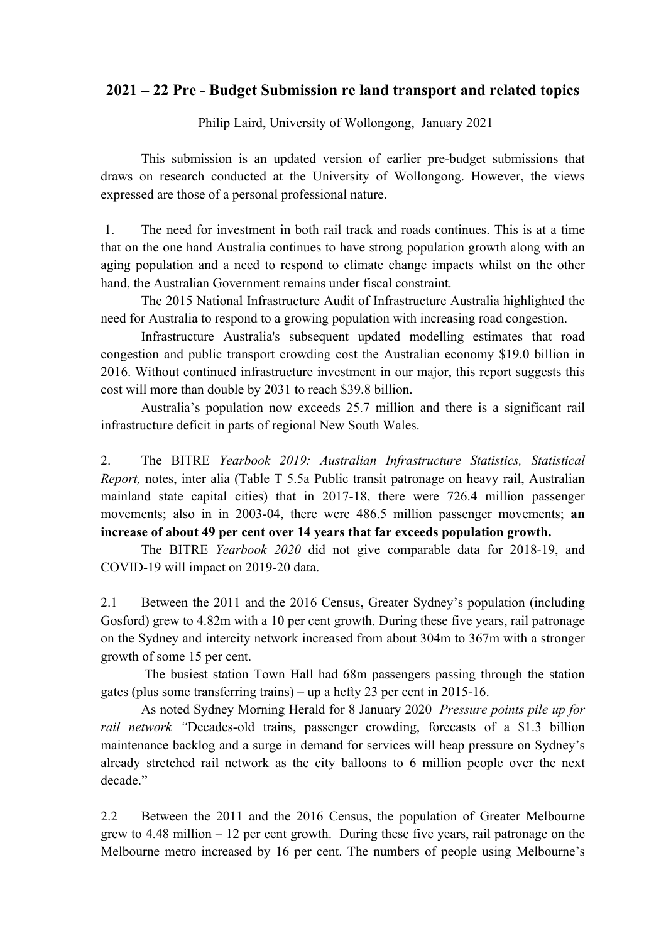# **2021 – 22 Pre - Budget Submission re land transport and related topics**

Philip Laird, University of Wollongong, January 2021

This submission is an updated version of earlier pre-budget submissions that draws on research conducted at the University of Wollongong. However, the views expressed are those of a personal professional nature.

1. The need for investment in both rail track and roads continues. This is at a time that on the one hand Australia continues to have strong population growth along with an aging population and a need to respond to climate change impacts whilst on the other hand, the Australian Government remains under fiscal constraint.

The 2015 National Infrastructure Audit of Infrastructure Australia highlighted the need for Australia to respond to a growing population with increasing road congestion.

Infrastructure Australia's subsequent updated modelling estimates that road congestion and public transport crowding cost the Australian economy \$19.0 billion in 2016. Without continued infrastructure investment in our major, this report suggests this cost will more than double by 2031 to reach \$39.8 billion.

Australia's population now exceeds 25.7 million and there is a significant rail infrastructure deficit in parts of regional New South Wales.

2. The BITRE *Yearbook 2019: Australian Infrastructure Statistics, Statistical Report,* notes, inter alia (Table T 5.5a Public transit patronage on heavy rail, Australian mainland state capital cities) that in 2017-18, there were 726.4 million passenger movements; also in in 2003-04, there were 486.5 million passenger movements; **an increase of about 49 per cent over 14 years that far exceeds population growth.**

The BITRE *Yearbook 2020* did not give comparable data for 2018-19, and COVID-19 will impact on 2019-20 data.

2.1 Between the 2011 and the 2016 Census, Greater Sydney's population (including Gosford) grew to 4.82m with a 10 per cent growth. During these five years, rail patronage on the Sydney and intercity network increased from about 304m to 367m with a stronger growth of some 15 per cent.

The busiest station Town Hall had 68m passengers passing through the station gates (plus some transferring trains) – up a hefty 23 per cent in 2015-16.

As noted Sydney Morning Herald for 8 January 2020 *Pressure points pile up for rail network "*Decades-old trains, passenger crowding, forecasts of a \$1.3 billion maintenance backlog and a surge in demand for services will heap pressure on Sydney's already stretched rail network as the city balloons to 6 million people over the next decade."

2.2 Between the 2011 and the 2016 Census, the population of Greater Melbourne grew to 4.48 million – 12 per cent growth. During these five years, rail patronage on the Melbourne metro increased by 16 per cent. The numbers of people using Melbourne's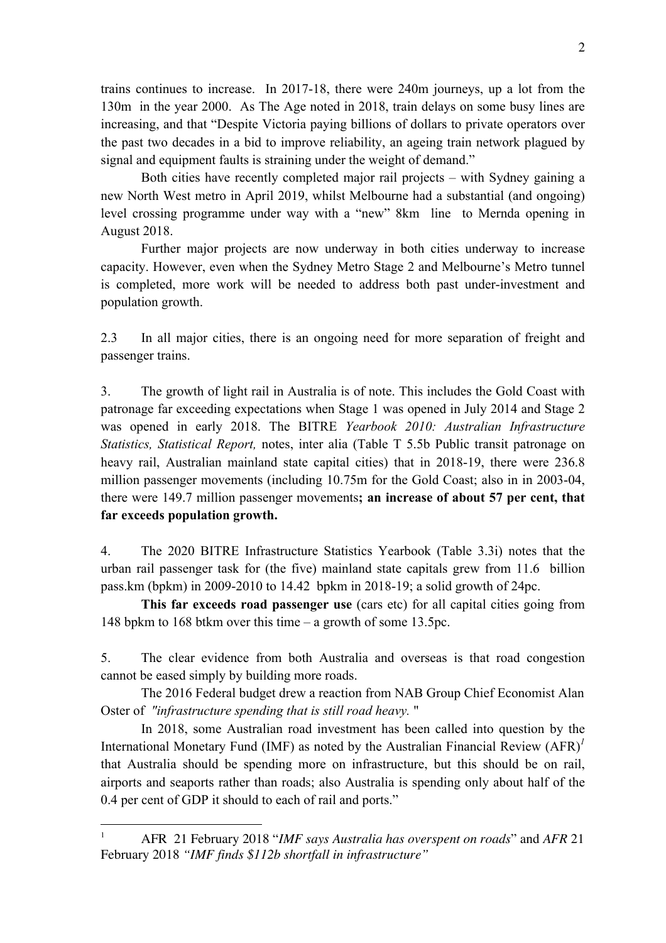trains continues to increase. In 2017-18, there were 240m journeys, up a lot from the 130m in the year 2000. As The Age noted in 2018, train delays on some busy lines are increasing, and that "Despite Victoria paying billions of dollars to private operators over the past two decades in a bid to improve reliability, an ageing train network plagued by signal and equipment faults is straining under the weight of demand."

Both cities have recently completed major rail projects – with Sydney gaining a new North West metro in April 2019, whilst Melbourne had a substantial (and ongoing) level crossing programme under way with a "new" 8km line to Mernda opening in August 2018.

Further major projects are now underway in both cities underway to increase capacity. However, even when the Sydney Metro Stage 2 and Melbourne's Metro tunnel is completed, more work will be needed to address both past under-investment and population growth.

2.3 In all major cities, there is an ongoing need for more separation of freight and passenger trains.

3. The growth of light rail in Australia is of note. This includes the Gold Coast with patronage far exceeding expectations when Stage 1 was opened in July 2014 and Stage 2 was opened in early 2018. The BITRE *Yearbook 2010: Australian Infrastructure Statistics, Statistical Report,* notes, inter alia (Table T 5.5b Public transit patronage on heavy rail, Australian mainland state capital cities) that in 2018-19, there were 236.8 million passenger movements (including 10.75m for the Gold Coast; also in in 2003-04, there were 149.7 million passenger movements**; an increase of about 57 per cent, that far exceeds population growth.**

4. The 2020 BITRE Infrastructure Statistics Yearbook (Table 3.3i) notes that the urban rail passenger task for (the five) mainland state capitals grew from 11.6 billion pass.km (bpkm) in 2009-2010 to 14.42 bpkm in 2018-19; a solid growth of 24pc.

**This far exceeds road passenger use** (cars etc) for all capital cities going from 148 bpkm to 168 btkm over this time – a growth of some 13.5pc.

5. The clear evidence from both Australia and overseas is that road congestion cannot be eased simply by building more roads.

The 2016 Federal budget drew a reaction from NAB Group Chief Economist Alan Oster of *"infrastructure spending that is still road heavy.* "

In 2018, some Australian road investment has been called into question by the International Monetary Fund (IMF) as noted by the Australian Financial Review (AFR)*<sup>1</sup>* that Australia should be spending more on infrastructure, but this should be on rail, airports and seaports rather than roads; also Australia is spending only about half of the 0.4 per cent of GDP it should to each of rail and ports."

 <sup>1</sup> AFR 21 February 2018 "*IMF says Australia has overspent on roads*" and *AFR* <sup>21</sup> February 2018 *"IMF finds \$112b shortfall in infrastructure"*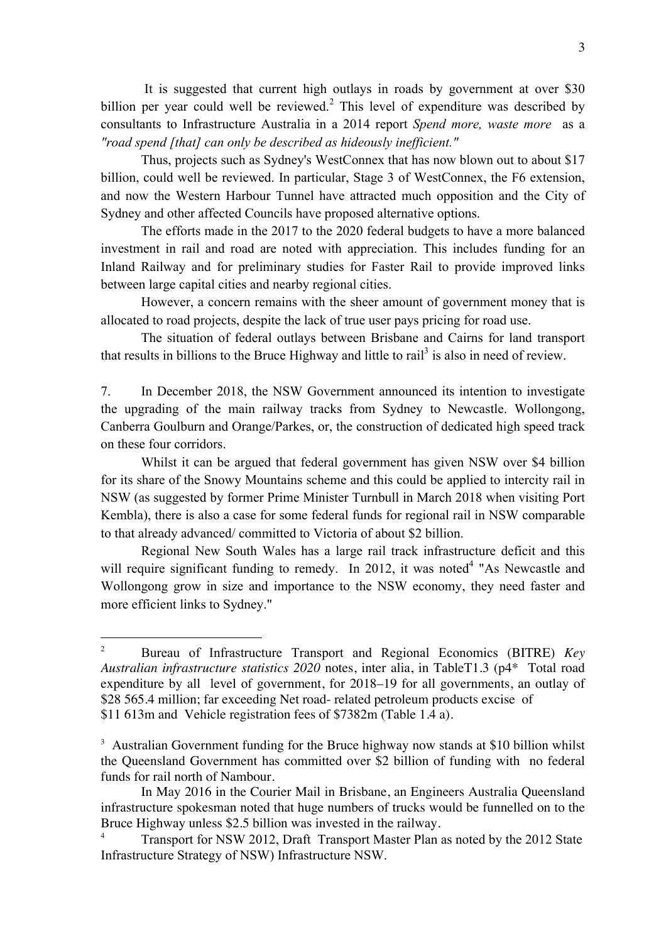It is suggested that current high outlays in roads by government at over \$30 billion per year could well be reviewed.<sup>2</sup> This level of expenditure was described by consultants to Infrastructure Australia in a 2014 report *Spend more, waste more* as a *"road spend [that] can only be described as hideously inefficient."*

Thus, projects such as Sydney's WestConnex that has now blown out to about \$17 billion, could well be reviewed. In particular, Stage 3 of WestConnex, the F6 extension, and now the Western Harbour Tunnel have attracted much opposition and the City of Sydney and other affected Councils have proposed alternative options.

The efforts made in the 2017 to the 2020 federal budgets to have a more balanced investment in rail and road are noted with appreciation. This includes funding for an Inland Railway and for preliminary studies for Faster Rail to provide improved links between large capital cities and nearby regional cities.

However, a concern remains with the sheer amount of government money that is allocated to road projects, despite the lack of true user pays pricing for road use.

The situation of federal outlays between Brisbane and Cairns for land transport that results in billions to the Bruce Highway and little to rail<sup>3</sup> is also in need of review.

7. In December 2018, the NSW Government announced its intention to investigate the upgrading of the main railway tracks from Sydney to Newcastle. Wollongong, Canberra Goulburn and Orange/Parkes, or, the construction of dedicated high speed track on these four corridors.

Whilst it can be argued that federal government has given NSW over \$4 billion for its share of the Snowy Mountains scheme and this could be applied to intercity rail in NSW (as suggested by former Prime Minister Turnbull in March 2018 when visiting Port Kembla), there is also a case for some federal funds for regional rail in NSW comparable to that already advanced/ committed to Victoria of about \$2 billion.

Regional New South Wales has a large rail track infrastructure deficit and this will require significant funding to remedy. In 2012, it was noted $4$  "As Newcastle and Wollongong grow in size and importance to the NSW economy, they need faster and more efficient links to Sydney."

 <sup>2</sup> Bureau of Infrastructure Transport and Regional Economics (BITRE) *Key Australian infrastructure statistics 2020* notes, inter alia, in TableT1.3 (p4\* Total road expenditure by all level of government, for 2018–19 for all governments, an outlay of \$28 565.4 million; far exceeding Net road- related petroleum products excise of \$11 613m and Vehicle registration fees of \$7382m (Table 1.4 a).

<sup>&</sup>lt;sup>3</sup> Australian Government funding for the Bruce highway now stands at \$10 billion whilst the Queensland Government has committed over \$2 billion of funding with no federal funds for rail north of Nambour.

In May 2016 in the Courier Mail in Brisbane, an Engineers Australia Queensland infrastructure spokesman noted that huge numbers of trucks would be funnelled on to the Bruce Highway unless \$2.5 billion was invested in the railway.

<sup>4</sup> Transport for NSW 2012, Draft Transport Master Plan as noted by the 2012 State Infrastructure Strategy of NSW) Infrastructure NSW.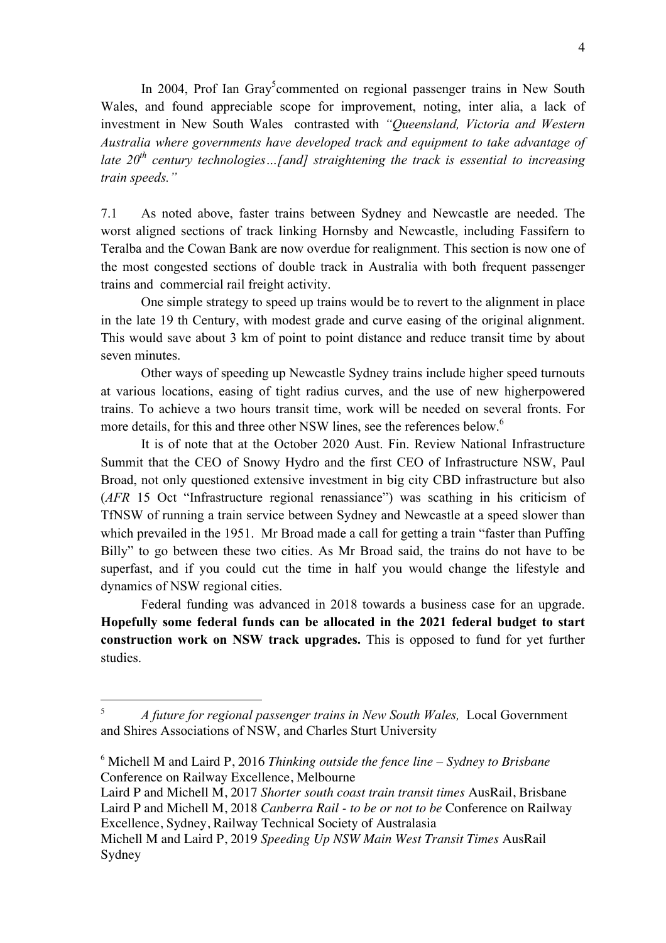In 2004, Prof Ian Gray<sup>5</sup> commented on regional passenger trains in New South Wales, and found appreciable scope for improvement, noting, inter alia, a lack of investment in New South Wales contrasted with *"Queensland, Victoria and Western Australia where governments have developed track and equipment to take advantage of late 20th century technologies…[and] straightening the track is essential to increasing train speeds."*

7.1 As noted above, faster trains between Sydney and Newcastle are needed. The worst aligned sections of track linking Hornsby and Newcastle, including Fassifern to Teralba and the Cowan Bank are now overdue for realignment. This section is now one of the most congested sections of double track in Australia with both frequent passenger trains and commercial rail freight activity.

One simple strategy to speed up trains would be to revert to the alignment in place in the late 19 th Century, with modest grade and curve easing of the original alignment. This would save about 3 km of point to point distance and reduce transit time by about seven minutes

Other ways of speeding up Newcastle Sydney trains include higher speed turnouts at various locations, easing of tight radius curves, and the use of new higherpowered trains. To achieve a two hours transit time, work will be needed on several fronts. For more details, for this and three other NSW lines, see the references below.<sup>6</sup>

It is of note that at the October 2020 Aust. Fin. Review National Infrastructure Summit that the CEO of Snowy Hydro and the first CEO of Infrastructure NSW, Paul Broad, not only questioned extensive investment in big city CBD infrastructure but also (*AFR* 15 Oct "Infrastructure regional renassiance") was scathing in his criticism of TfNSW of running a train service between Sydney and Newcastle at a speed slower than which prevailed in the 1951. Mr Broad made a call for getting a train "faster than Puffing Billy" to go between these two cities. As Mr Broad said, the trains do not have to be superfast, and if you could cut the time in half you would change the lifestyle and dynamics of NSW regional cities.

Federal funding was advanced in 2018 towards a business case for an upgrade. **Hopefully some federal funds can be allocated in the 2021 federal budget to start construction work on NSW track upgrades.** This is opposed to fund for yet further studies.

 <sup>5</sup> *A future for regional passenger trains in New South Wales,* Local Government and Shires Associations of NSW, and Charles Sturt University

<sup>6</sup> Michell M and Laird P, 2016 *Thinking outside the fence line – Sydney to Brisbane* Conference on Railway Excellence, Melbourne

Laird P and Michell M, 2017 *Shorter south coast train transit times* AusRail, Brisbane Laird P and Michell M, 2018 *Canberra Rail - to be or not to be* Conference on Railway Excellence, Sydney, Railway Technical Society of Australasia

Michell M and Laird P, 2019 *Speeding Up NSW Main West Transit Times* AusRail Sydney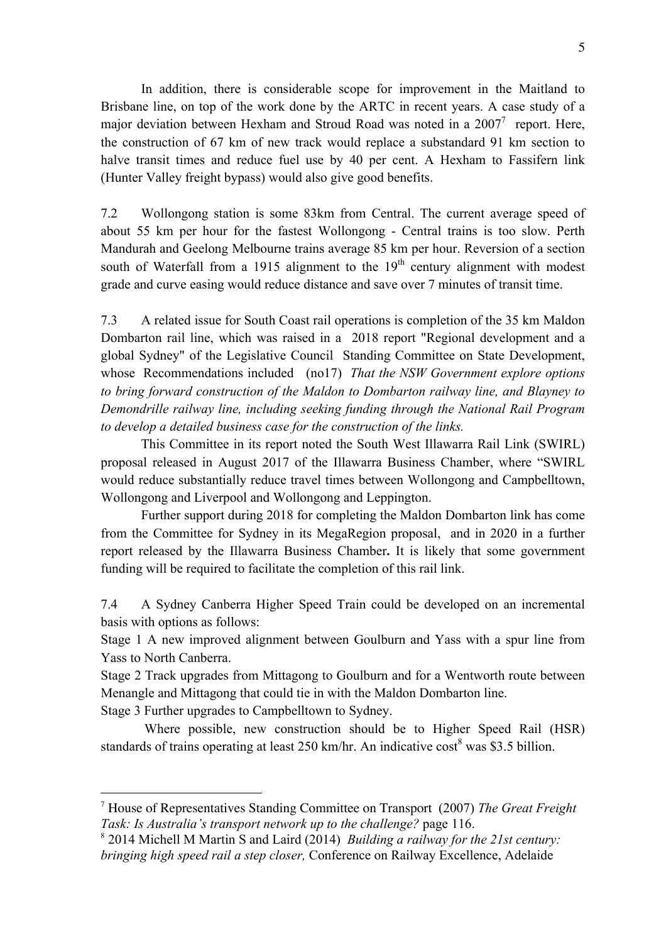In addition, there is considerable scope for improvement in the Maitland to Brisbane line, on top of the work done by the ARTC in recent years. A case study of a major deviation between Hexham and Stroud Road was noted in a  $2007<sup>7</sup>$  report. Here, the construction of 67 km of new track would replace a substandard 91 km section to halve transit times and reduce fuel use by 40 per cent. A Hexham to Fassifern link (Hunter Valley freight bypass) would also give good benefits.

7.2 Wollongong station is some 83km from Central. The current average speed of about 55 km per hour for the fastest Wollongong - Central trains is too slow. Perth Mandurah and Geelong Melbourne trains average 85 km per hour. Reversion of a section south of Waterfall from a 1915 alignment to the  $19<sup>th</sup>$  century alignment with modest grade and curve easing would reduce distance and save over 7 minutes of transit time.

7.3 A related issue for South Coast rail operations is completion of the 35 km Maldon Dombarton rail line, which was raised in a 2018 report "Regional development and a global Sydney" of the Legislative Council Standing Committee on State Development, whose Recommendations included (no17) *That the NSW Government explore options to bring forward construction of the Maldon to Dombarton railway line, and Blayney to Demondrille railway line, including seeking funding through the National Rail Program to develop a detailed business case for the construction of the links.*

This Committee in its report noted the South West Illawarra Rail Link (SWIRL) proposal released in August 2017 of the Illawarra Business Chamber, where "SWIRL would reduce substantially reduce travel times between Wollongong and Campbelltown, Wollongong and Liverpool and Wollongong and Leppington.

Further support during 2018 for completing the Maldon Dombarton link has come from the Committee for Sydney in its MegaRegion proposal, and in 2020 in a further report released by the Illawarra Business Chamber**.** It is likely that some government funding will be required to facilitate the completion of this rail link.

7.4 A Sydney Canberra Higher Speed Train could be developed on an incremental basis with options as follows:

Stage 1 A new improved alignment between Goulburn and Yass with a spur line from Yass to North Canberra.

Stage 2 Track upgrades from Mittagong to Goulburn and for a Wentworth route between Menangle and Mittagong that could tie in with the Maldon Dombarton line.

Stage 3 Further upgrades to Campbelltown to Sydney.

Where possible, new construction should be to Higher Speed Rail (HSR) standards of trains operating at least  $250 \text{ km/hr}$ . An indicative cost<sup>8</sup> was \$3.5 billion.

 <sup>7</sup> House of Representatives Standing Committee on Transport (2007) *The Great Freight Task: Is Australia's transport network up to the challenge?* page 116.

<sup>8</sup> 2014 Michell M Martin S and Laird (2014) *Building a railway for the 21st century: bringing high speed rail a step closer,* Conference on Railway Excellence, Adelaide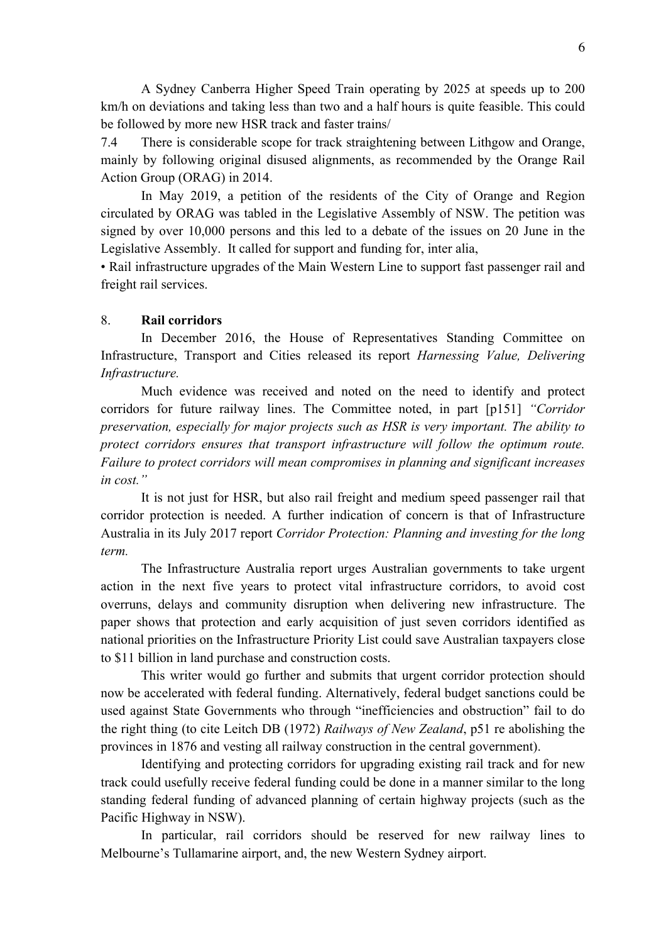A Sydney Canberra Higher Speed Train operating by 2025 at speeds up to 200 km/h on deviations and taking less than two and a half hours is quite feasible. This could be followed by more new HSR track and faster trains/

7.4 There is considerable scope for track straightening between Lithgow and Orange, mainly by following original disused alignments, as recommended by the Orange Rail Action Group (ORAG) in 2014.

In May 2019, a petition of the residents of the City of Orange and Region circulated by ORAG was tabled in the Legislative Assembly of NSW. The petition was signed by over 10,000 persons and this led to a debate of the issues on 20 June in the Legislative Assembly. It called for support and funding for, inter alia,

• Rail infrastructure upgrades of the Main Western Line to support fast passenger rail and freight rail services.

#### 8. **Rail corridors**

In December 2016, the House of Representatives Standing Committee on Infrastructure, Transport and Cities released its report *Harnessing Value, Delivering Infrastructure.* 

Much evidence was received and noted on the need to identify and protect corridors for future railway lines. The Committee noted, in part [p151] *"Corridor preservation, especially for major projects such as HSR is very important. The ability to protect corridors ensures that transport infrastructure will follow the optimum route. Failure to protect corridors will mean compromises in planning and significant increases in cost."*

It is not just for HSR, but also rail freight and medium speed passenger rail that corridor protection is needed. A further indication of concern is that of Infrastructure Australia in its July 2017 report *Corridor Protection: Planning and investing for the long term.*

The Infrastructure Australia report urges Australian governments to take urgent action in the next five years to protect vital infrastructure corridors, to avoid cost overruns, delays and community disruption when delivering new infrastructure. The paper shows that protection and early acquisition of just seven corridors identified as national priorities on the Infrastructure Priority List could save Australian taxpayers close to \$11 billion in land purchase and construction costs.

This writer would go further and submits that urgent corridor protection should now be accelerated with federal funding. Alternatively, federal budget sanctions could be used against State Governments who through "inefficiencies and obstruction" fail to do the right thing (to cite Leitch DB (1972) *Railways of New Zealand*, p51 re abolishing the provinces in 1876 and vesting all railway construction in the central government).

Identifying and protecting corridors for upgrading existing rail track and for new track could usefully receive federal funding could be done in a manner similar to the long standing federal funding of advanced planning of certain highway projects (such as the Pacific Highway in NSW).

In particular, rail corridors should be reserved for new railway lines to Melbourne's Tullamarine airport, and, the new Western Sydney airport.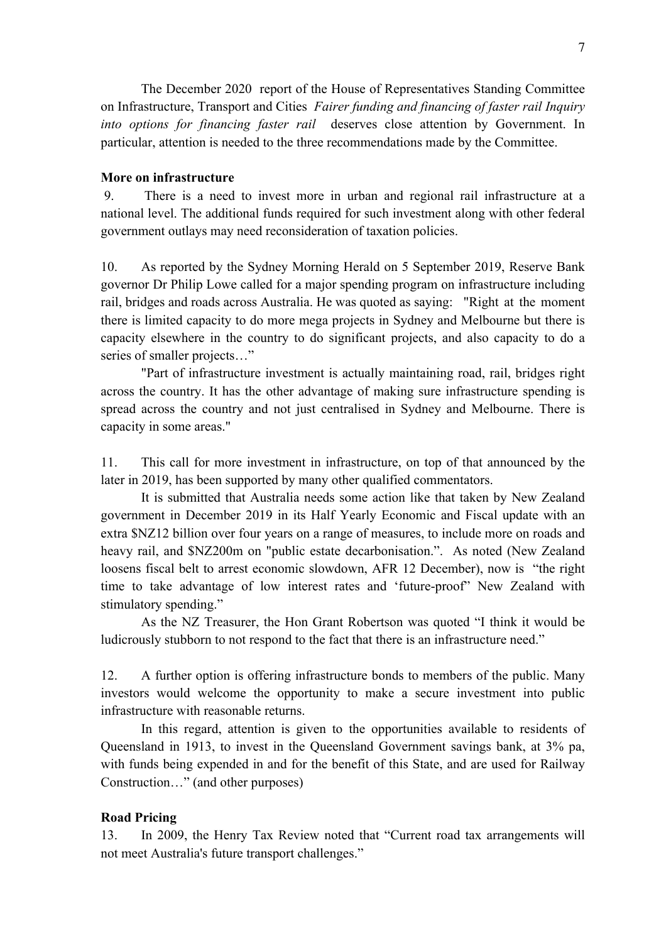The December 2020 report of the House of Representatives Standing Committee on Infrastructure, Transport and Cities *Fairer funding and financing of faster rail Inquiry into options for financing faster rail* deserves close attention by Government. In particular, attention is needed to the three recommendations made by the Committee.

# **More on infrastructure**

9. There is a need to invest more in urban and regional rail infrastructure at a national level. The additional funds required for such investment along with other federal government outlays may need reconsideration of taxation policies.

10. As reported by the Sydney Morning Herald on 5 September 2019, Reserve Bank governor Dr Philip Lowe called for a major spending program on infrastructure including rail, bridges and roads across Australia. He was quoted as saying: "Right at the moment there is limited capacity to do more mega projects in Sydney and Melbourne but there is capacity elsewhere in the country to do significant projects, and also capacity to do a series of smaller projects..."

"Part of infrastructure investment is actually maintaining road, rail, bridges right across the country. It has the other advantage of making sure infrastructure spending is spread across the country and not just centralised in Sydney and Melbourne. There is capacity in some areas."

11. This call for more investment in infrastructure, on top of that announced by the later in 2019, has been supported by many other qualified commentators.

It is submitted that Australia needs some action like that taken by New Zealand government in December 2019 in its Half Yearly Economic and Fiscal update with an extra \$NZ12 billion over four years on a range of measures, to include more on roads and heavy rail, and \$NZ200m on "public estate decarbonisation.". As noted (New Zealand loosens fiscal belt to arrest economic slowdown, AFR 12 December), now is "the right time to take advantage of low interest rates and 'future-proof" New Zealand with stimulatory spending."

As the NZ Treasurer, the Hon Grant Robertson was quoted "I think it would be ludicrously stubborn to not respond to the fact that there is an infrastructure need."

12. A further option is offering infrastructure bonds to members of the public. Many investors would welcome the opportunity to make a secure investment into public infrastructure with reasonable returns.

In this regard, attention is given to the opportunities available to residents of Queensland in 1913, to invest in the Queensland Government savings bank, at 3% pa, with funds being expended in and for the benefit of this State, and are used for Railway Construction…" (and other purposes)

# **Road Pricing**

13. In 2009, the Henry Tax Review noted that "Current road tax arrangements will not meet Australia's future transport challenges."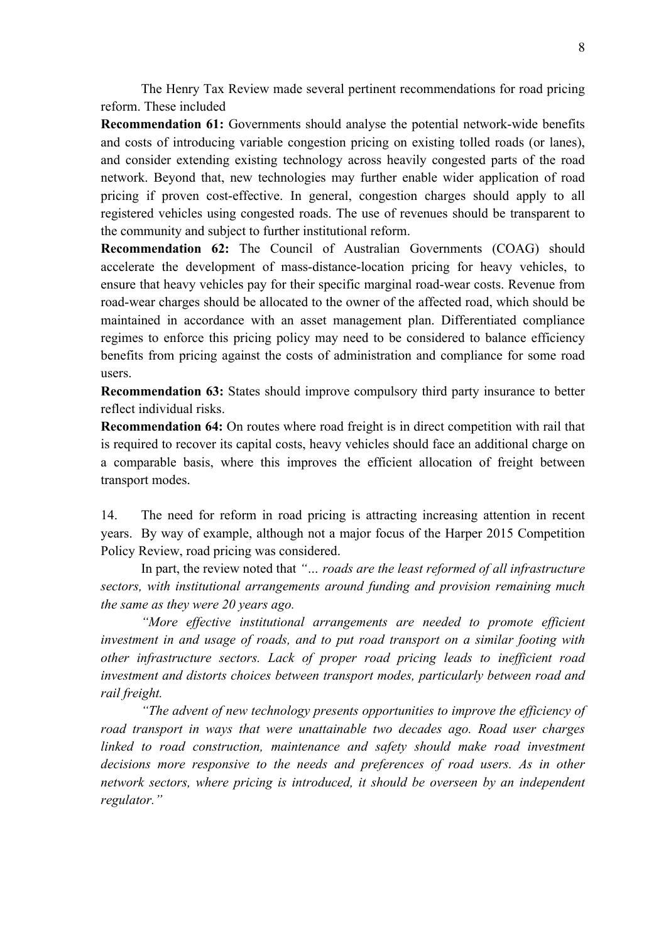The Henry Tax Review made several pertinent recommendations for road pricing reform. These included

**Recommendation 61:** Governments should analyse the potential network-wide benefits and costs of introducing variable congestion pricing on existing tolled roads (or lanes), and consider extending existing technology across heavily congested parts of the road network. Beyond that, new technologies may further enable wider application of road pricing if proven cost-effective. In general, congestion charges should apply to all registered vehicles using congested roads. The use of revenues should be transparent to the community and subject to further institutional reform.

**Recommendation 62:** The Council of Australian Governments (COAG) should accelerate the development of mass-distance-location pricing for heavy vehicles, to ensure that heavy vehicles pay for their specific marginal road-wear costs. Revenue from road-wear charges should be allocated to the owner of the affected road, which should be maintained in accordance with an asset management plan. Differentiated compliance regimes to enforce this pricing policy may need to be considered to balance efficiency benefits from pricing against the costs of administration and compliance for some road users.

**Recommendation 63:** States should improve compulsory third party insurance to better reflect individual risks.

**Recommendation 64:** On routes where road freight is in direct competition with rail that is required to recover its capital costs, heavy vehicles should face an additional charge on a comparable basis, where this improves the efficient allocation of freight between transport modes.

14. The need for reform in road pricing is attracting increasing attention in recent years. By way of example, although not a major focus of the Harper 2015 Competition Policy Review, road pricing was considered.

In part, the review noted that *"… roads are the least reformed of all infrastructure sectors, with institutional arrangements around funding and provision remaining much the same as they were 20 years ago.*

*"More effective institutional arrangements are needed to promote efficient investment in and usage of roads, and to put road transport on a similar footing with other infrastructure sectors. Lack of proper road pricing leads to inefficient road investment and distorts choices between transport modes, particularly between road and rail freight.*

*"The advent of new technology presents opportunities to improve the efficiency of road transport in ways that were unattainable two decades ago. Road user charges linked to road construction, maintenance and safety should make road investment decisions more responsive to the needs and preferences of road users. As in other network sectors, where pricing is introduced, it should be overseen by an independent regulator."*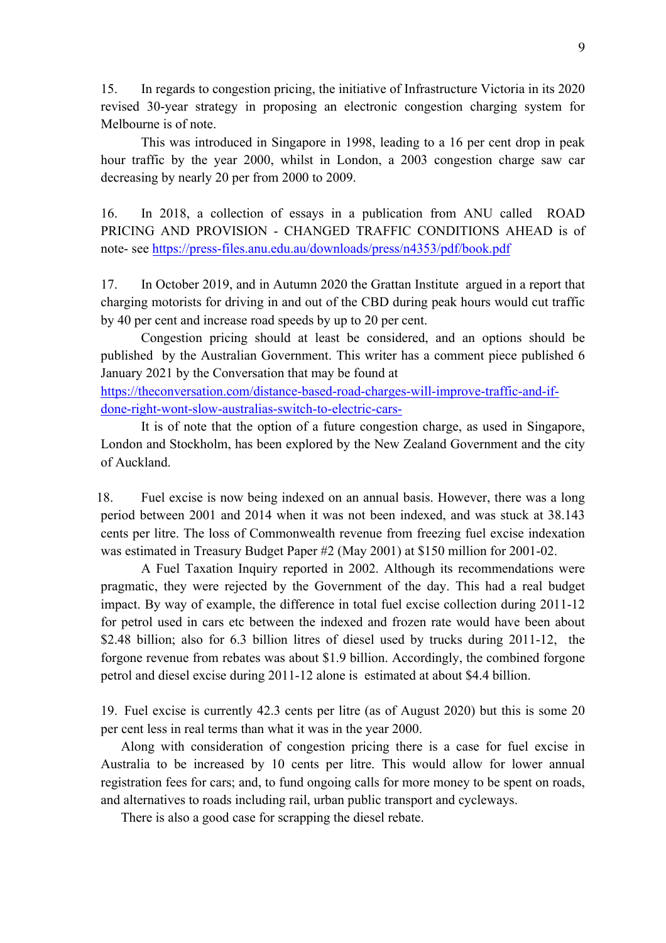15. In regards to congestion pricing, the initiative of Infrastructure Victoria in its 2020 revised 30-year strategy in proposing an electronic congestion charging system for Melbourne is of note.

This was introduced in Singapore in 1998, leading to a 16 per cent drop in peak hour traffic by the year 2000, whilst in London, a 2003 congestion charge saw car decreasing by nearly 20 per from 2000 to 2009.

16. In 2018, a collection of essays in a publication from ANU called ROAD PRICING AND PROVISION - CHANGED TRAFFIC CONDITIONS AHEAD is of note- see https://press-files.anu.edu.au/downloads/press/n4353/pdf/book.pdf

17. In October 2019, and in Autumn 2020 the Grattan Institute argued in a report that charging motorists for driving in and out of the CBD during peak hours would cut traffic by 40 per cent and increase road speeds by up to 20 per cent.

Congestion pricing should at least be considered, and an options should be published by the Australian Government. This writer has a comment piece published 6 January 2021 by the Conversation that may be found at

https://theconversation.com/distance-based-road-charges-will-improve-traffic-and-ifdone-right-wont-slow-australias-switch-to-electric-cars-

It is of note that the option of a future congestion charge, as used in Singapore, London and Stockholm, has been explored by the New Zealand Government and the city of Auckland.

18. Fuel excise is now being indexed on an annual basis. However, there was a long period between 2001 and 2014 when it was not been indexed, and was stuck at 38.143 cents per litre. The loss of Commonwealth revenue from freezing fuel excise indexation was estimated in Treasury Budget Paper #2 (May 2001) at \$150 million for 2001-02.

A Fuel Taxation Inquiry reported in 2002. Although its recommendations were pragmatic, they were rejected by the Government of the day. This had a real budget impact. By way of example, the difference in total fuel excise collection during 2011-12 for petrol used in cars etc between the indexed and frozen rate would have been about \$2.48 billion; also for 6.3 billion litres of diesel used by trucks during 2011-12, the forgone revenue from rebates was about \$1.9 billion. Accordingly, the combined forgone petrol and diesel excise during 2011-12 alone is estimated at about \$4.4 billion.

19. Fuel excise is currently 42.3 cents per litre (as of August 2020) but this is some 20 per cent less in real terms than what it was in the year 2000.

Along with consideration of congestion pricing there is a case for fuel excise in Australia to be increased by 10 cents per litre. This would allow for lower annual registration fees for cars; and, to fund ongoing calls for more money to be spent on roads, and alternatives to roads including rail, urban public transport and cycleways.

There is also a good case for scrapping the diesel rebate.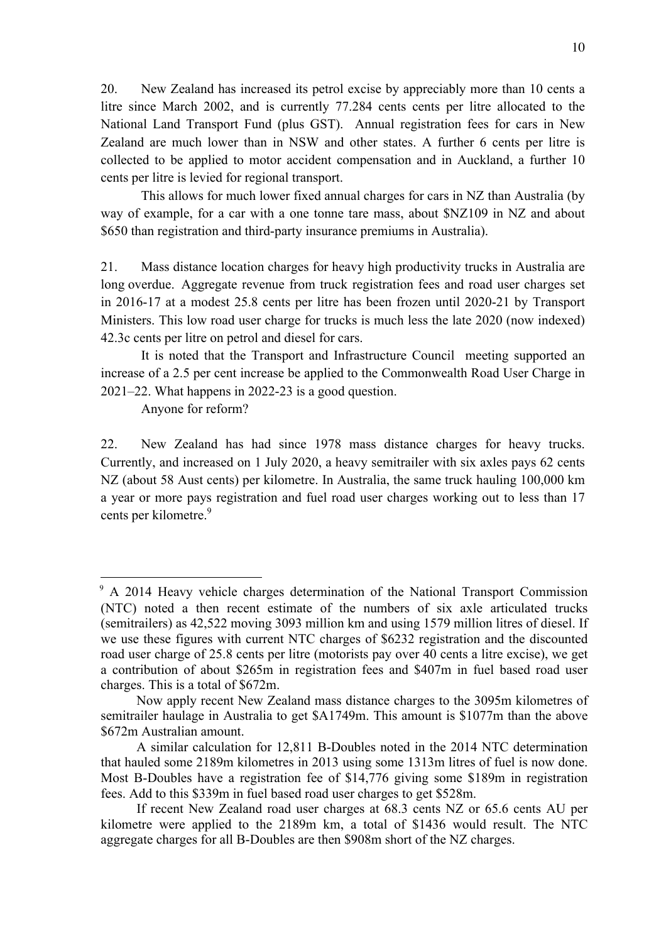20. New Zealand has increased its petrol excise by appreciably more than 10 cents a litre since March 2002, and is currently 77.284 cents cents per litre allocated to the National Land Transport Fund (plus GST). Annual registration fees for cars in New Zealand are much lower than in NSW and other states. A further 6 cents per litre is collected to be applied to motor accident compensation and in Auckland, a further 10 cents per litre is levied for regional transport.

This allows for much lower fixed annual charges for cars in NZ than Australia (by way of example, for a car with a one tonne tare mass, about \$NZ109 in NZ and about \$650 than registration and third-party insurance premiums in Australia).

21. Mass distance location charges for heavy high productivity trucks in Australia are long overdue. Aggregate revenue from truck registration fees and road user charges set in 2016-17 at a modest 25.8 cents per litre has been frozen until 2020-21 by Transport Ministers. This low road user charge for trucks is much less the late 2020 (now indexed) 42.3c cents per litre on petrol and diesel for cars.

It is noted that the Transport and Infrastructure Council meeting supported an increase of a 2.5 per cent increase be applied to the Commonwealth Road User Charge in 2021–22. What happens in 2022-23 is a good question.

Anyone for reform?

22. New Zealand has had since 1978 mass distance charges for heavy trucks. Currently, and increased on 1 July 2020, a heavy semitrailer with six axles pays 62 cents NZ (about 58 Aust cents) per kilometre. In Australia, the same truck hauling 100,000 km a year or more pays registration and fuel road user charges working out to less than 17 cents per kilometre.<sup>9</sup>

<sup>&</sup>lt;sup>9</sup> A 2014 Heavy vehicle charges determination of the National Transport Commission (NTC) noted a then recent estimate of the numbers of six axle articulated trucks (semitrailers) as 42,522 moving 3093 million km and using 1579 million litres of diesel. If we use these figures with current NTC charges of \$6232 registration and the discounted road user charge of 25.8 cents per litre (motorists pay over 40 cents a litre excise), we get a contribution of about \$265m in registration fees and \$407m in fuel based road user charges. This is a total of \$672m.

Now apply recent New Zealand mass distance charges to the 3095m kilometres of semitrailer haulage in Australia to get \$A1749m. This amount is \$1077m than the above \$672m Australian amount.

A similar calculation for 12,811 B-Doubles noted in the 2014 NTC determination that hauled some 2189m kilometres in 2013 using some 1313m litres of fuel is now done. Most B-Doubles have a registration fee of \$14,776 giving some \$189m in registration fees. Add to this \$339m in fuel based road user charges to get \$528m.

If recent New Zealand road user charges at 68.3 cents NZ or 65.6 cents AU per kilometre were applied to the 2189m km, a total of \$1436 would result. The NTC aggregate charges for all B-Doubles are then \$908m short of the NZ charges.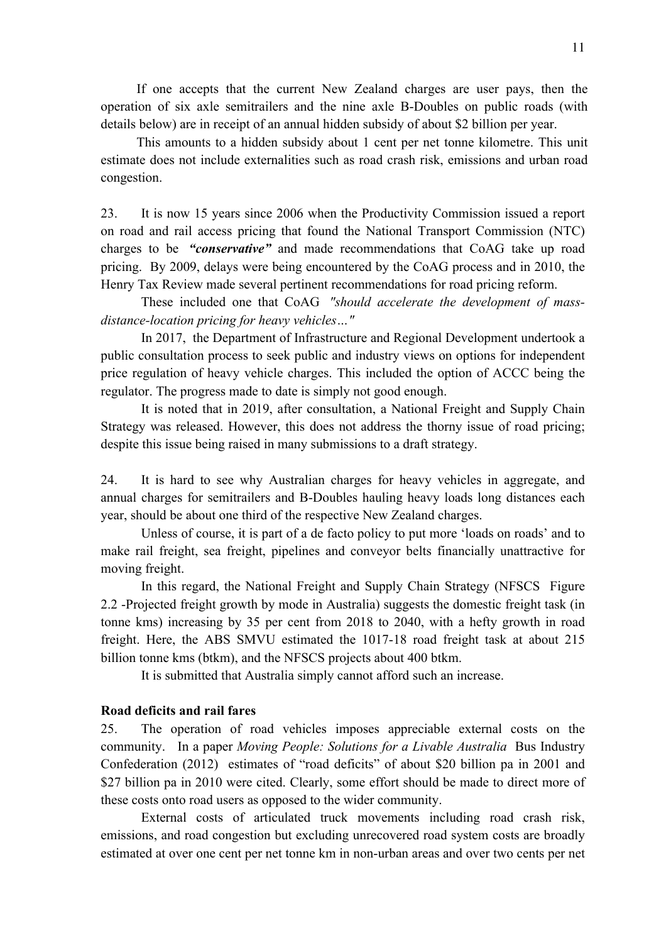If one accepts that the current New Zealand charges are user pays, then the operation of six axle semitrailers and the nine axle B-Doubles on public roads (with details below) are in receipt of an annual hidden subsidy of about \$2 billion per year.

This amounts to a hidden subsidy about 1 cent per net tonne kilometre. This unit estimate does not include externalities such as road crash risk, emissions and urban road congestion.

23. It is now 15 years since 2006 when the Productivity Commission issued a report on road and rail access pricing that found the National Transport Commission (NTC) charges to be *"conservative"* and made recommendations that CoAG take up road pricing. By 2009, delays were being encountered by the CoAG process and in 2010, the Henry Tax Review made several pertinent recommendations for road pricing reform.

These included one that CoAG *"should accelerate the development of massdistance-location pricing for heavy vehicles…"*

In 2017, the Department of Infrastructure and Regional Development undertook a public consultation process to seek public and industry views on options for independent price regulation of heavy vehicle charges. This included the option of ACCC being the regulator. The progress made to date is simply not good enough.

It is noted that in 2019, after consultation, a National Freight and Supply Chain Strategy was released. However, this does not address the thorny issue of road pricing; despite this issue being raised in many submissions to a draft strategy.

24. It is hard to see why Australian charges for heavy vehicles in aggregate, and annual charges for semitrailers and B-Doubles hauling heavy loads long distances each year, should be about one third of the respective New Zealand charges.

Unless of course, it is part of a de facto policy to put more 'loads on roads' and to make rail freight, sea freight, pipelines and conveyor belts financially unattractive for moving freight.

In this regard, the National Freight and Supply Chain Strategy (NFSCS Figure 2.2 -Projected freight growth by mode in Australia) suggests the domestic freight task (in tonne kms) increasing by 35 per cent from 2018 to 2040, with a hefty growth in road freight. Here, the ABS SMVU estimated the 1017-18 road freight task at about 215 billion tonne kms (btkm), and the NFSCS projects about 400 btkm.

It is submitted that Australia simply cannot afford such an increase.

### **Road deficits and rail fares**

25. The operation of road vehicles imposes appreciable external costs on the community. In a paper *Moving People: Solutions for a Livable Australia* Bus Industry Confederation (2012) estimates of "road deficits" of about \$20 billion pa in 2001 and \$27 billion pa in 2010 were cited. Clearly, some effort should be made to direct more of these costs onto road users as opposed to the wider community.

External costs of articulated truck movements including road crash risk, emissions, and road congestion but excluding unrecovered road system costs are broadly estimated at over one cent per net tonne km in non-urban areas and over two cents per net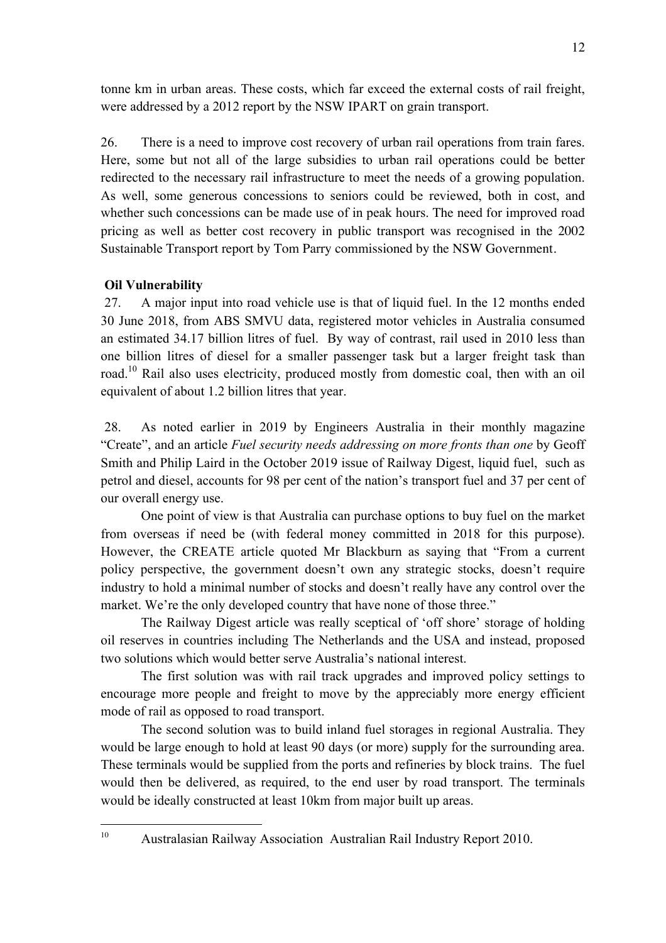tonne km in urban areas. These costs, which far exceed the external costs of rail freight, were addressed by a 2012 report by the NSW IPART on grain transport.

26. There is a need to improve cost recovery of urban rail operations from train fares. Here, some but not all of the large subsidies to urban rail operations could be better redirected to the necessary rail infrastructure to meet the needs of a growing population. As well, some generous concessions to seniors could be reviewed, both in cost, and whether such concessions can be made use of in peak hours. The need for improved road pricing as well as better cost recovery in public transport was recognised in the 2002 Sustainable Transport report by Tom Parry commissioned by the NSW Government.

# **Oil Vulnerability**

27. A major input into road vehicle use is that of liquid fuel. In the 12 months ended 30 June 2018, from ABS SMVU data, registered motor vehicles in Australia consumed an estimated 34.17 billion litres of fuel. By way of contrast, rail used in 2010 less than one billion litres of diesel for a smaller passenger task but a larger freight task than road.<sup>10</sup> Rail also uses electricity, produced mostly from domestic coal, then with an oil equivalent of about 1.2 billion litres that year.

28. As noted earlier in 2019 by Engineers Australia in their monthly magazine "Create", and an article *Fuel security needs addressing on more fronts than one* by Geoff Smith and Philip Laird in the October 2019 issue of Railway Digest, liquid fuel, such as petrol and diesel, accounts for 98 per cent of the nation's transport fuel and 37 per cent of our overall energy use.

One point of view is that Australia can purchase options to buy fuel on the market from overseas if need be (with federal money committed in 2018 for this purpose). However, the CREATE article quoted Mr Blackburn as saying that "From a current policy perspective, the government doesn't own any strategic stocks, doesn't require industry to hold a minimal number of stocks and doesn't really have any control over the market. We're the only developed country that have none of those three."

The Railway Digest article was really sceptical of 'off shore' storage of holding oil reserves in countries including The Netherlands and the USA and instead, proposed two solutions which would better serve Australia's national interest.

The first solution was with rail track upgrades and improved policy settings to encourage more people and freight to move by the appreciably more energy efficient mode of rail as opposed to road transport.

The second solution was to build inland fuel storages in regional Australia. They would be large enough to hold at least 90 days (or more) supply for the surrounding area. These terminals would be supplied from the ports and refineries by block trains. The fuel would then be delivered, as required, to the end user by road transport. The terminals would be ideally constructed at least 10km from major built up areas.

<sup>10</sup> Australasian Railway Association Australian Rail Industry Report 2010.